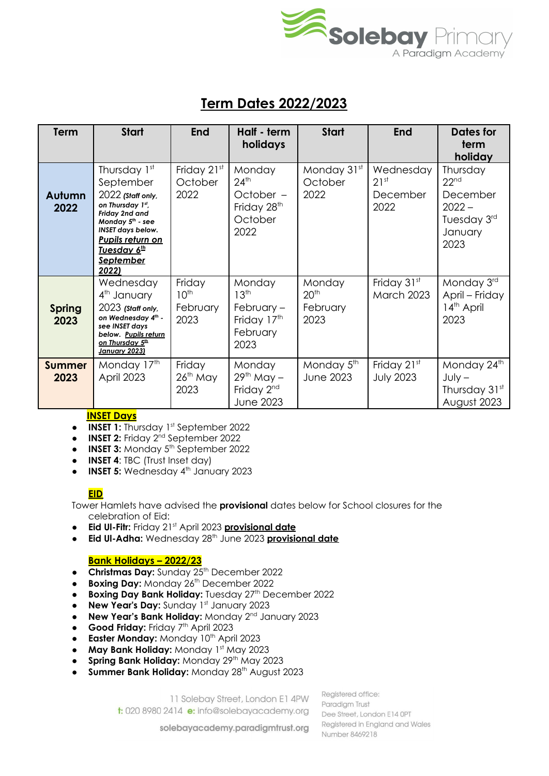

## **Term Dates 2022/2023**

| <b>Term</b>           | <b>Start</b>                                                                                                                                                                                           | <b>End</b>                                     | Half - term<br>holidays                                                                 | <b>Start</b>                                   | <b>End</b>                                        | <b>Dates for</b><br>term<br>holiday                                                    |
|-----------------------|--------------------------------------------------------------------------------------------------------------------------------------------------------------------------------------------------------|------------------------------------------------|-----------------------------------------------------------------------------------------|------------------------------------------------|---------------------------------------------------|----------------------------------------------------------------------------------------|
| Autumn<br>2022        | Thursday 1st<br>September<br>2022 (Staff only,<br>on Thursday 1st,<br>Friday 2nd and<br>Monday $5th$ - see<br><b>INSET days below.</b><br>Pupils return on<br>Tuesday 6th<br><b>September</b><br>2022) | Friday 21st<br>October<br>2022                 | Monday<br>$24$ <sup>th</sup><br>October -<br>Friday 28 <sup>th</sup><br>October<br>2022 | Monday 31st<br>October<br>2022                 | Wednesday<br>21 <sup>st</sup><br>December<br>2022 | Thursday<br>22 <sup>nd</sup><br>December<br>$2022 -$<br>Tuesday 3rd<br>January<br>2023 |
| <b>Spring</b><br>2023 | Wednesday<br>4 <sup>th</sup> January<br>$2023$ (Staff only,<br>on Wednesday 4 <sup>th</sup> -<br>see INSET days<br>below. Pupils return<br><u>on Thursday 5th</u><br><b>January 2023)</b>              | Friday<br>10 <sup>th</sup><br>February<br>2023 | Monday<br>13 <sup>th</sup><br>February $-$<br>Friday 17th<br>February<br>2023           | Monday<br>20 <sup>th</sup><br>February<br>2023 | Friday 31st<br><b>March 2023</b>                  | Monday 3rd<br>April - Friday<br>14 <sup>th</sup> April<br>2023                         |
| <b>Summer</b><br>2023 | Monday 17th<br>April 2023                                                                                                                                                                              | Friday<br>$26th$ May<br>2023                   | Monday<br>$29th$ May $-$<br>Friday 2 <sup>nd</sup><br><b>June 2023</b>                  | Monday 5 <sup>th</sup><br><b>June 2023</b>     | Friday 21st<br><b>July 2023</b>                   | Monday 24th<br>$July -$<br>Thursday 31st<br>August 2023                                |

## **INSET Days**

- **INSET 1:** Thursday 1<sup>st</sup> September 2022
- **INSET 2:** Friday 2<sup>nd</sup> September 2022
- **INSET 3:** Monday 5<sup>th</sup> September 2022
- **INSET 4**: TBC (Trust Inset day)
- **INSET 5:** Wednesday 4 th January 2023

## **EID**

Tower Hamlets have advised the **provisional** dates below for School closures for the celebration of Eid:

- **•** Eid UI-Fitr: Friday 21<sup>st</sup> April 2023 provisional date
- **Eid Ul-Adha:** Wednesday 28 th June 2023 **provisional date**

## **Bank Holidays – 2022/23**

- **Christmas Day:** Sunday 25<sup>th</sup> December 2022
- **Boxing Day:** Monday 26<sup>th</sup> December 2022
- **Boxing Day Bank Holiday:** Tuesday 27 th December 2022
- **New Year's Day:** Sunday 1<sup>st</sup> January 2023
- **New Year's Bank Holiday:** Monday 2<sup>nd</sup> January 2023
- **Good Friday:** Friday 7<sup>th</sup> April 2023
- **Easter Monday:** Monday 10<sup>th</sup> April 2023
- **May Bank Holiday:** Monday 1 st May 2023
- **Spring Bank Holiday:** Monday 29 th May 2023
- **Summer Bank Holiday: Monday 28th August 2023**

11 Solebay Street, London E1 4PW

t: 020 8980 2414 e: info@solebayacademy.org

Realstered office: Paradiam Trust Dee Street, London E14 0PT Registered in England and Wales Number 8469218

solebayacademy.paradigmtrust.org